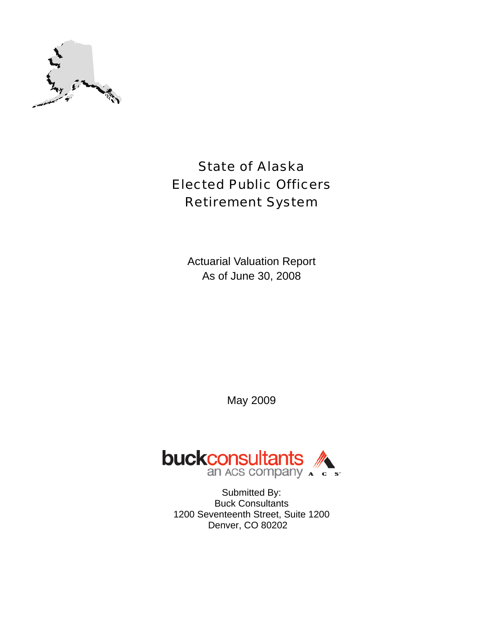

# State of Alaska Elected Public Officers Retirement System

Actuarial Valuation Report As of June 30, 2008

May 2009



Submitted By: Buck Consultants 1200 Seventeenth Street, Suite 1200 Denver, CO 80202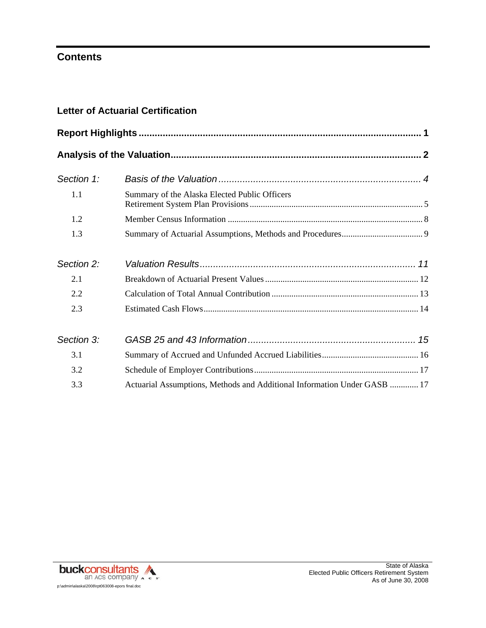# **Contents**

| <b>Letter of Actuarial Certification</b> |
|------------------------------------------|
|------------------------------------------|

| Section 1: |                                                                          |  |
|------------|--------------------------------------------------------------------------|--|
| 1.1        | Summary of the Alaska Elected Public Officers                            |  |
| 1.2        |                                                                          |  |
| 1.3        |                                                                          |  |
| Section 2: |                                                                          |  |
| 2.1        |                                                                          |  |
| 2.2        |                                                                          |  |
| 2.3        |                                                                          |  |
| Section 3: |                                                                          |  |
| 3.1        |                                                                          |  |
| 3.2        |                                                                          |  |
| 3.3        | Actuarial Assumptions, Methods and Additional Information Under GASB  17 |  |

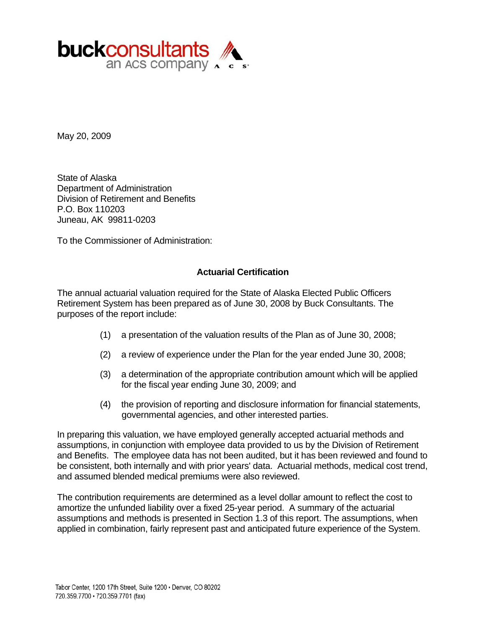

May 20, 2009

State of Alaska Department of Administration Division of Retirement and Benefits P.O. Box 110203 Juneau, AK 99811-0203

To the Commissioner of Administration:

### **Actuarial Certification**

The annual actuarial valuation required for the State of Alaska Elected Public Officers Retirement System has been prepared as of June 30, 2008 by Buck Consultants. The purposes of the report include:

- (1) a presentation of the valuation results of the Plan as of June 30, 2008;
- (2) a review of experience under the Plan for the year ended June 30, 2008;
- (3) a determination of the appropriate contribution amount which will be applied for the fiscal year ending June 30, 2009; and
- (4) the provision of reporting and disclosure information for financial statements, governmental agencies, and other interested parties.

In preparing this valuation, we have employed generally accepted actuarial methods and assumptions, in conjunction with employee data provided to us by the Division of Retirement and Benefits. The employee data has not been audited, but it has been reviewed and found to be consistent, both internally and with prior years' data. Actuarial methods, medical cost trend, and assumed blended medical premiums were also reviewed.

The contribution requirements are determined as a level dollar amount to reflect the cost to amortize the unfunded liability over a fixed 25-year period. A summary of the actuarial assumptions and methods is presented in Section 1.3 of this report. The assumptions, when applied in combination, fairly represent past and anticipated future experience of the System.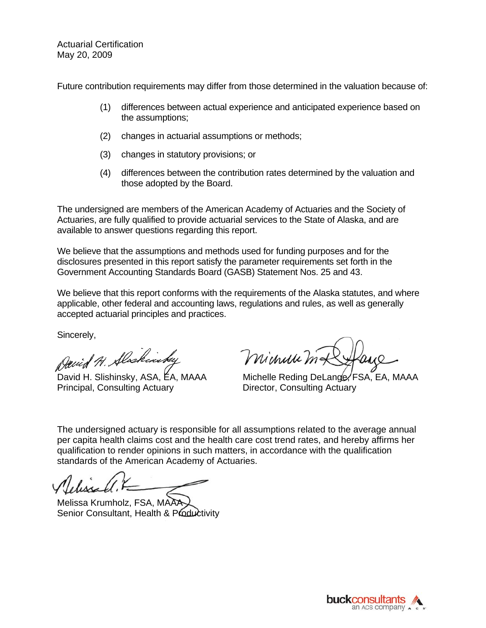Actuarial Certification May 20, 2009

Future contribution requirements may differ from those determined in the valuation because of:

- (1) differences between actual experience and anticipated experience based on the assumptions;
- (2) changes in actuarial assumptions or methods;
- (3) changes in statutory provisions; or
- (4) differences between the contribution rates determined by the valuation and those adopted by the Board.

The undersigned are members of the American Academy of Actuaries and the Society of Actuaries, are fully qualified to provide actuarial services to the State of Alaska, and are available to answer questions regarding this report.

We believe that the assumptions and methods used for funding purposes and for the disclosures presented in this report satisfy the parameter requirements set forth in the Government Accounting Standards Board (GASB) Statement Nos. 25 and 43.

We believe that this report conforms with the requirements of the Alaska statutes, and where applicable, other federal and accounting laws, regulations and rules, as well as generally accepted actuarial principles and practices.

Sincerely,

David H. Slaskinske

Principal, Consulting Actuary **Director, Consulting Actuary** 

minuum

David H. Slishinsky, ASA, EA, MAAA Michelle Reding DeLange, FSA, EA, MAAA

The undersigned actuary is responsible for all assumptions related to the average annual per capita health claims cost and the health care cost trend rates, and hereby affirms her qualification to render opinions in such matters, in accordance with the qualification standards of the American Academy of Actuaries.

Melissa Krumholz, FSA, MAAA Senior Consultant, Health & Productivity

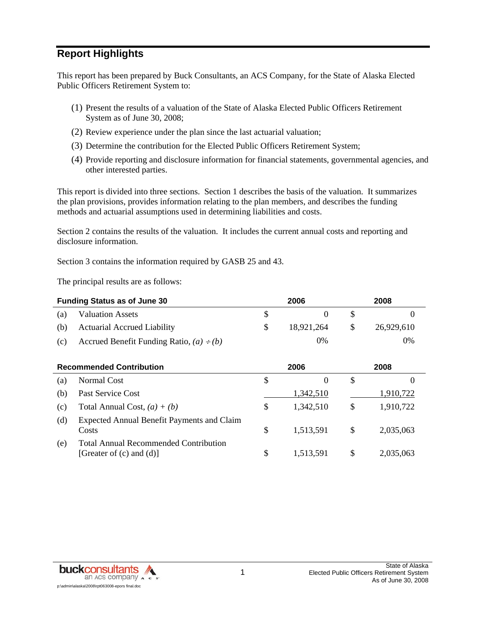# **Report Highlights**

This report has been prepared by Buck Consultants, an ACS Company, for the State of Alaska Elected Public Officers Retirement System to:

- (1) Present the results of a valuation of the State of Alaska Elected Public Officers Retirement System as of June 30, 2008;
- (2) Review experience under the plan since the last actuarial valuation;
- (3) Determine the contribution for the Elected Public Officers Retirement System;
- (4) Provide reporting and disclosure information for financial statements, governmental agencies, and other interested parties.

This report is divided into three sections. Section 1 describes the basis of the valuation. It summarizes the plan provisions, provides information relating to the plan members, and describes the funding methods and actuarial assumptions used in determining liabilities and costs.

Section 2 contains the results of the valuation. It includes the current annual costs and reporting and disclosure information.

Section 3 contains the information required by GASB 25 and 43.

The principal results are as follows:

| <b>Funding Status as of June 30</b> |                                               |  | 2006       | 2008 |            |  |
|-------------------------------------|-----------------------------------------------|--|------------|------|------------|--|
| (a)                                 | <b>Valuation Assets</b>                       |  |            |      |            |  |
| (b)                                 | <b>Actuarial Accrued Liability</b>            |  | 18.921.264 | -S   | 26.929.610 |  |
| (c)                                 | Accrued Benefit Funding Ratio, $(a) \div (b)$ |  | 0%         |      | 0%         |  |

| <b>Recommended Contribution</b> |                                                                               |     | 2006      | 2008 |           |  |
|---------------------------------|-------------------------------------------------------------------------------|-----|-----------|------|-----------|--|
| (a)                             | Normal Cost                                                                   | S   | $\theta$  | \$   | $\theta$  |  |
| (b)                             | Past Service Cost                                                             |     | 1,342,510 |      | 1,910,722 |  |
| (c)                             | Total Annual Cost, $(a) + (b)$                                                | \$  | 1,342,510 | \$   | 1,910,722 |  |
| (d)                             | <b>Expected Annual Benefit Payments and Claim</b><br>Costs                    | \$. | 1,513,591 | \$   | 2,035,063 |  |
| (e)                             | <b>Total Annual Recommended Contribution</b><br>[Greater of $(c)$ and $(d)$ ] | \$  | 1,513,591 | \$   | 2,035,063 |  |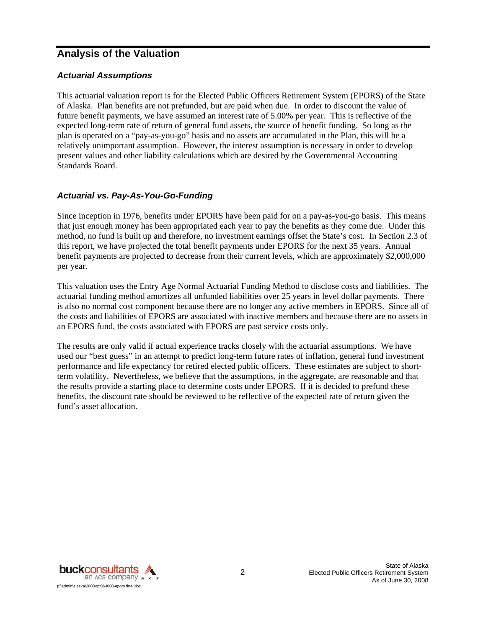### **Analysis of the Valuation**

### *Actuarial Assumptions*

This actuarial valuation report is for the Elected Public Officers Retirement System (EPORS) of the State of Alaska. Plan benefits are not prefunded, but are paid when due. In order to discount the value of future benefit payments, we have assumed an interest rate of 5.00% per year. This is reflective of the expected long-term rate of return of general fund assets, the source of benefit funding. So long as the plan is operated on a "pay-as-you-go" basis and no assets are accumulated in the Plan, this will be a relatively unimportant assumption. However, the interest assumption is necessary in order to develop present values and other liability calculations which are desired by the Governmental Accounting Standards Board.

### *Actuarial vs. Pay-As-You-Go-Funding*

Since inception in 1976, benefits under EPORS have been paid for on a pay-as-you-go basis. This means that just enough money has been appropriated each year to pay the benefits as they come due. Under this method, no fund is built up and therefore, no investment earnings offset the State's cost. In Section 2.3 of this report, we have projected the total benefit payments under EPORS for the next 35 years. Annual benefit payments are projected to decrease from their current levels, which are approximately \$2,000,000 per year.

This valuation uses the Entry Age Normal Actuarial Funding Method to disclose costs and liabilities. The actuarial funding method amortizes all unfunded liabilities over 25 years in level dollar payments. There is also no normal cost component because there are no longer any active members in EPORS. Since all of the costs and liabilities of EPORS are associated with inactive members and because there are no assets in an EPORS fund, the costs associated with EPORS are past service costs only.

The results are only valid if actual experience tracks closely with the actuarial assumptions. We have used our "best guess" in an attempt to predict long-term future rates of inflation, general fund investment performance and life expectancy for retired elected public officers. These estimates are subject to shortterm volatility. Nevertheless, we believe that the assumptions, in the aggregate, are reasonable and that the results provide a starting place to determine costs under EPORS. If it is decided to prefund these benefits, the discount rate should be reviewed to be reflective of the expected rate of return given the fund's asset allocation.

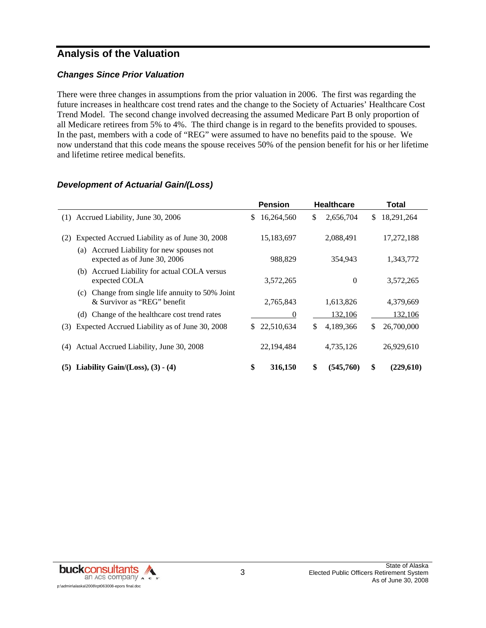## **Analysis of the Valuation**

### *Changes Since Prior Valuation*

There were three changes in assumptions from the prior valuation in 2006. The first was regarding the future increases in healthcare cost trend rates and the change to the Society of Actuaries' Healthcare Cost Trend Model. The second change involved decreasing the assumed Medicare Part B only proportion of all Medicare retirees from 5% to 4%. The third change is in regard to the benefits provided to spouses. In the past, members with a code of "REG" were assumed to have no benefits paid to the spouse. We now understand that this code means the spouse receives 50% of the pension benefit for his or her lifetime and lifetime retiree medical benefits.

#### *Development of Actuarial Gain/(Loss)*

|                                                                                    | <b>Pension</b>   | <b>Healthcare</b> | <b>Total</b>     |
|------------------------------------------------------------------------------------|------------------|-------------------|------------------|
| Accrued Liability, June 30, 2006<br>(1)                                            | 16,264,560<br>S. | \$<br>2,656,704   | 18,291,264<br>\$ |
| Expected Accrued Liability as of June 30, 2008<br>(2)                              | 15,183,697       | 2,088,491         | 17,272,188       |
| (a) Accrued Liability for new spouses not<br>expected as of June 30, 2006          | 988,829          | 354,943           | 1,343,772        |
| Accrued Liability for actual COLA versus<br>(b)<br>expected COLA                   | 3,572,265        | $\theta$          | 3,572,265        |
| Change from single life annuity to 50% Joint<br>(c)<br>& Survivor as "REG" benefit | 2,765,843        | 1,613,826         | 4,379,669        |
| Change of the healthcare cost trend rates<br>(d)                                   | $\theta$         | 132,106           | 132,106          |
| Expected Accrued Liability as of June 30, 2008<br>(3)                              | 22,510,634<br>\$ | \$<br>4,189,366   | 26,700,000<br>\$ |
| Actual Accrued Liability, June 30, 2008<br>(4)                                     | 22,194,484       | 4,735,126         | 26,929,610       |
| Liability Gain/(Loss), $(3)$ - $(4)$<br>(5)                                        | \$<br>316,150    | \$<br>(545,760)   | \$<br>(229,610)  |

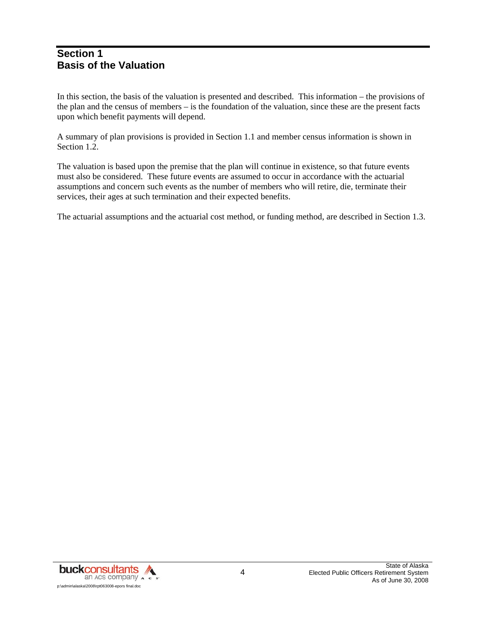### **Section 1 Basis of the Valuation**

In this section, the basis of the valuation is presented and described. This information – the provisions of the plan and the census of members – is the foundation of the valuation, since these are the present facts upon which benefit payments will depend.

A summary of plan provisions is provided in Section 1.1 and member census information is shown in Section 1.2.

The valuation is based upon the premise that the plan will continue in existence, so that future events must also be considered. These future events are assumed to occur in accordance with the actuarial assumptions and concern such events as the number of members who will retire, die, terminate their services, their ages at such termination and their expected benefits.

The actuarial assumptions and the actuarial cost method, or funding method, are described in Section 1.3.

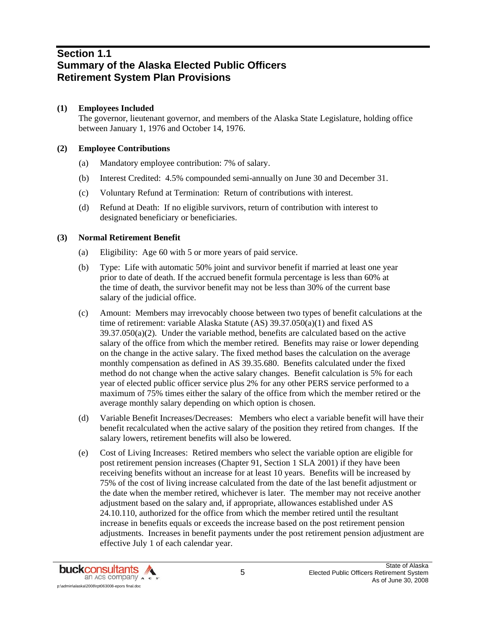### **Section 1.1 Summary of the Alaska Elected Public Officers Retirement System Plan Provisions**

#### **(1) Employees Included**

 The governor, lieutenant governor, and members of the Alaska State Legislature, holding office between January 1, 1976 and October 14, 1976.

#### **(2) Employee Contributions**

- (a) Mandatory employee contribution: 7% of salary.
- (b) Interest Credited: 4.5% compounded semi-annually on June 30 and December 31.
- (c) Voluntary Refund at Termination: Return of contributions with interest.
- (d) Refund at Death: If no eligible survivors, return of contribution with interest to designated beneficiary or beneficiaries.

#### **(3) Normal Retirement Benefit**

- (a) Eligibility: Age 60 with 5 or more years of paid service.
- (b) Type: Life with automatic 50% joint and survivor benefit if married at least one year prior to date of death. If the accrued benefit formula percentage is less than 60% at the time of death, the survivor benefit may not be less than 30% of the current base salary of the judicial office.
- (c) Amount: Members may irrevocably choose between two types of benefit calculations at the time of retirement: variable Alaska Statute (AS) 39.37.050(a)(1) and fixed AS  $39.37.050(a)(2)$ . Under the variable method, benefits are calculated based on the active salary of the office from which the member retired. Benefits may raise or lower depending on the change in the active salary. The fixed method bases the calculation on the average monthly compensation as defined in AS 39.35.680. Benefits calculated under the fixed method do not change when the active salary changes. Benefit calculation is 5% for each year of elected public officer service plus 2% for any other PERS service performed to a maximum of 75% times either the salary of the office from which the member retired or the average monthly salary depending on which option is chosen.
- (d) Variable Benefit Increases/Decreases: Members who elect a variable benefit will have their benefit recalculated when the active salary of the position they retired from changes. If the salary lowers, retirement benefits will also be lowered.
- (e) Cost of Living Increases: Retired members who select the variable option are eligible for post retirement pension increases (Chapter 91, Section 1 SLA 2001) if they have been receiving benefits without an increase for at least 10 years. Benefits will be increased by 75% of the cost of living increase calculated from the date of the last benefit adjustment or the date when the member retired, whichever is later. The member may not receive another adjustment based on the salary and, if appropriate, allowances established under AS 24.10.110, authorized for the office from which the member retired until the resultant increase in benefits equals or exceeds the increase based on the post retirement pension adjustments. Increases in benefit payments under the post retirement pension adjustment are effective July 1 of each calendar year.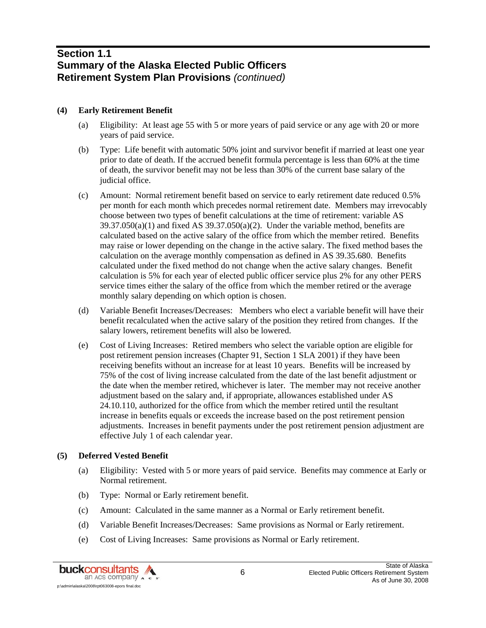### **Section 1.1 Summary of the Alaska Elected Public Officers Retirement System Plan Provisions** *(continued)*

#### **(4) Early Retirement Benefit**

- (a) Eligibility: At least age 55 with 5 or more years of paid service or any age with 20 or more years of paid service.
- (b) Type: Life benefit with automatic 50% joint and survivor benefit if married at least one year prior to date of death. If the accrued benefit formula percentage is less than 60% at the time of death, the survivor benefit may not be less than 30% of the current base salary of the judicial office.
- (c) Amount: Normal retirement benefit based on service to early retirement date reduced 0.5% per month for each month which precedes normal retirement date. Members may irrevocably choose between two types of benefit calculations at the time of retirement: variable AS  $39.37.050(a)(1)$  and fixed AS  $39.37.050(a)(2)$ . Under the variable method, benefits are calculated based on the active salary of the office from which the member retired. Benefits may raise or lower depending on the change in the active salary. The fixed method bases the calculation on the average monthly compensation as defined in AS 39.35.680. Benefits calculated under the fixed method do not change when the active salary changes. Benefit calculation is 5% for each year of elected public officer service plus 2% for any other PERS service times either the salary of the office from which the member retired or the average monthly salary depending on which option is chosen.
- (d) Variable Benefit Increases/Decreases: Members who elect a variable benefit will have their benefit recalculated when the active salary of the position they retired from changes. If the salary lowers, retirement benefits will also be lowered.
- (e) Cost of Living Increases: Retired members who select the variable option are eligible for post retirement pension increases (Chapter 91, Section 1 SLA 2001) if they have been receiving benefits without an increase for at least 10 years. Benefits will be increased by 75% of the cost of living increase calculated from the date of the last benefit adjustment or the date when the member retired, whichever is later. The member may not receive another adjustment based on the salary and, if appropriate, allowances established under AS 24.10.110, authorized for the office from which the member retired until the resultant increase in benefits equals or exceeds the increase based on the post retirement pension adjustments. Increases in benefit payments under the post retirement pension adjustment are effective July 1 of each calendar year.

#### **(5) Deferred Vested Benefit**

- (a) Eligibility: Vested with 5 or more years of paid service. Benefits may commence at Early or Normal retirement.
- (b) Type: Normal or Early retirement benefit.
- (c) Amount: Calculated in the same manner as a Normal or Early retirement benefit.
- (d) Variable Benefit Increases/Decreases: Same provisions as Normal or Early retirement.
- (e) Cost of Living Increases: Same provisions as Normal or Early retirement.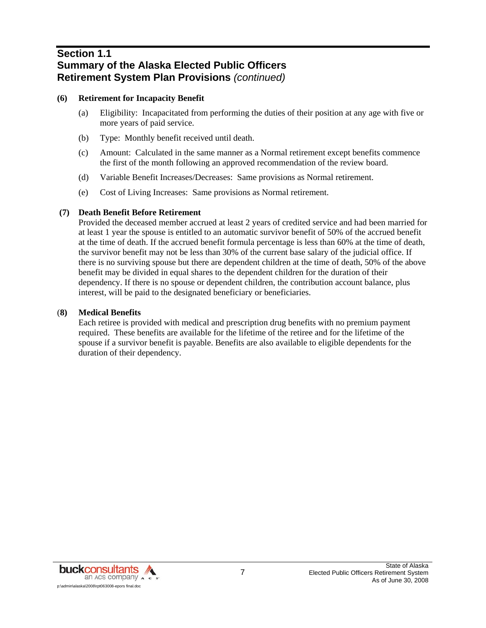### **Section 1.1 Summary of the Alaska Elected Public Officers Retirement System Plan Provisions** *(continued)*

#### **(6) Retirement for Incapacity Benefit**

- (a) Eligibility: Incapacitated from performing the duties of their position at any age with five or more years of paid service.
- (b) Type: Monthly benefit received until death.
- (c) Amount: Calculated in the same manner as a Normal retirement except benefits commence the first of the month following an approved recommendation of the review board.
- (d) Variable Benefit Increases/Decreases: Same provisions as Normal retirement.
- (e) Cost of Living Increases: Same provisions as Normal retirement.

#### **(7) Death Benefit Before Retirement**

 Provided the deceased member accrued at least 2 years of credited service and had been married for at least 1 year the spouse is entitled to an automatic survivor benefit of 50% of the accrued benefit at the time of death. If the accrued benefit formula percentage is less than 60% at the time of death, the survivor benefit may not be less than 30% of the current base salary of the judicial office. If there is no surviving spouse but there are dependent children at the time of death, 50% of the above benefit may be divided in equal shares to the dependent children for the duration of their dependency. If there is no spouse or dependent children, the contribution account balance, plus interest, will be paid to the designated beneficiary or beneficiaries.

#### (**8) Medical Benefits**

 Each retiree is provided with medical and prescription drug benefits with no premium payment required. These benefits are available for the lifetime of the retiree and for the lifetime of the spouse if a survivor benefit is payable. Benefits are also available to eligible dependents for the duration of their dependency.

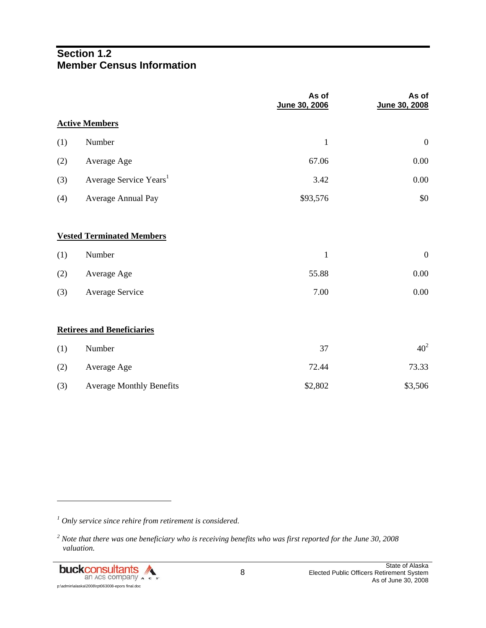### **Section 1.2 Member Census Information**

|     |                                    | As of<br>June 30, 2006 | As of<br>June 30, 2008 |
|-----|------------------------------------|------------------------|------------------------|
|     | <b>Active Members</b>              |                        |                        |
| (1) | Number                             | $\mathbf{1}$           | $\boldsymbol{0}$       |
| (2) | Average Age                        | 67.06                  | 0.00                   |
| (3) | Average Service Years <sup>1</sup> | 3.42                   | 0.00                   |
| (4) | Average Annual Pay                 | \$93,576               | \$0                    |
|     | <b>Vested Terminated Members</b>   |                        |                        |
| (1) | Number                             | $\mathbf{1}$           | $\boldsymbol{0}$       |
| (2) | Average Age                        | 55.88                  | 0.00                   |
| (3) | <b>Average Service</b>             | 7.00                   | 0.00                   |
|     | <b>Retirees and Beneficiaries</b>  |                        |                        |
| (1) | Number                             | 37                     | $40^2$                 |
| (2) | Average Age                        | 72.44                  | 73.33                  |
| (3) | <b>Average Monthly Benefits</b>    | \$2,802                | \$3,506                |

*1 Only service since rehire from retirement is considered.* 

l

*<sup>2</sup> Note that there was one beneficiary who is receiving benefits who was first reported for the June 30, 2008 valuation.*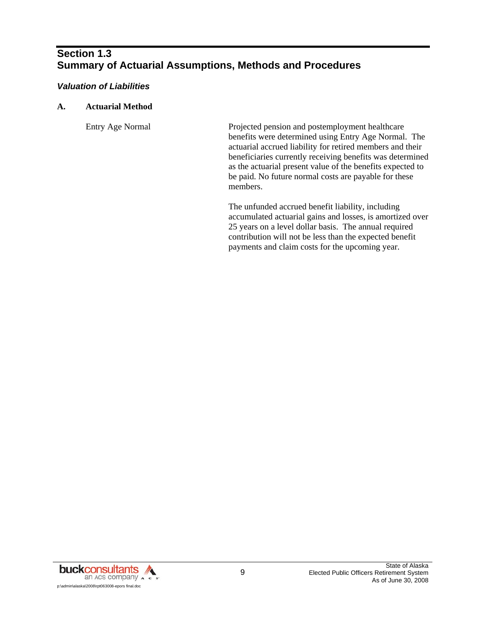# **Section 1.3 Summary of Actuarial Assumptions, Methods and Procedures**

#### *Valuation of Liabilities*

#### **A. Actuarial Method**

 Entry Age Normal Projected pension and postemployment healthcare benefits were determined using Entry Age Normal. The actuarial accrued liability for retired members and their beneficiaries currently receiving benefits was determined as the actuarial present value of the benefits expected to be paid. No future normal costs are payable for these members.

> The unfunded accrued benefit liability, including accumulated actuarial gains and losses, is amortized over 25 years on a level dollar basis. The annual required contribution will not be less than the expected benefit payments and claim costs for the upcoming year.

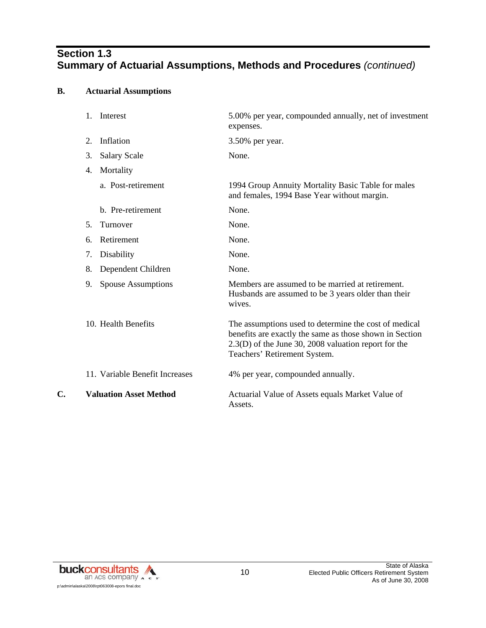# **Section 1.3 Summary of Actuarial Assumptions, Methods and Procedures** *(continued)*

#### **B. Actuarial Assumptions**

|    | Interest<br>1.                  | 5.00% per year, compounded annually, net of investment<br>expenses.                                                                                                                                        |
|----|---------------------------------|------------------------------------------------------------------------------------------------------------------------------------------------------------------------------------------------------------|
|    | Inflation<br>2.                 | 3.50% per year.                                                                                                                                                                                            |
|    | 3.<br><b>Salary Scale</b>       | None.                                                                                                                                                                                                      |
|    | Mortality<br>4.                 |                                                                                                                                                                                                            |
|    | a. Post-retirement              | 1994 Group Annuity Mortality Basic Table for males<br>and females, 1994 Base Year without margin.                                                                                                          |
|    | b. Pre-retirement               | None.                                                                                                                                                                                                      |
|    | 5.<br>Turnover                  | None.                                                                                                                                                                                                      |
|    | Retirement<br>6.                | None.                                                                                                                                                                                                      |
|    | 7.<br>Disability                | None.                                                                                                                                                                                                      |
|    | 8.<br>Dependent Children        | None.                                                                                                                                                                                                      |
|    | 9.<br><b>Spouse Assumptions</b> | Members are assumed to be married at retirement.<br>Husbands are assumed to be 3 years older than their<br>wives.                                                                                          |
|    | 10. Health Benefits             | The assumptions used to determine the cost of medical<br>benefits are exactly the same as those shown in Section<br>$2.3(D)$ of the June 30, 2008 valuation report for the<br>Teachers' Retirement System. |
|    | 11. Variable Benefit Increases  | 4% per year, compounded annually.                                                                                                                                                                          |
| C. | <b>Valuation Asset Method</b>   | Actuarial Value of Assets equals Market Value of<br>Assets.                                                                                                                                                |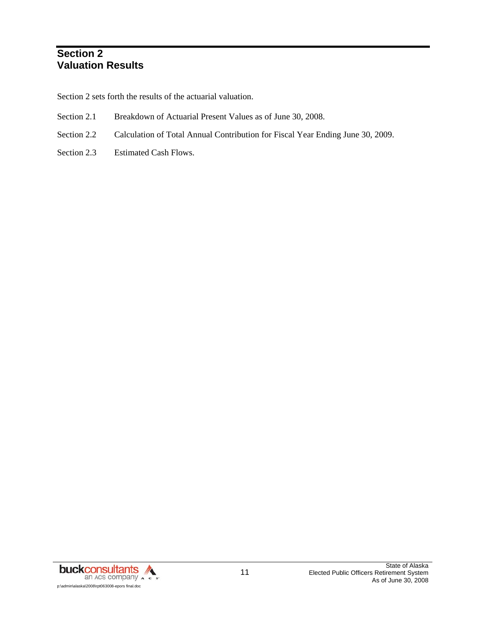### **Section 2 Valuation Results**

Section 2 sets forth the results of the actuarial valuation.

- Section 2.1 Breakdown of Actuarial Present Values as of June 30, 2008.
- Section 2.2 Calculation of Total Annual Contribution for Fiscal Year Ending June 30, 2009.
- Section 2.3 Estimated Cash Flows.

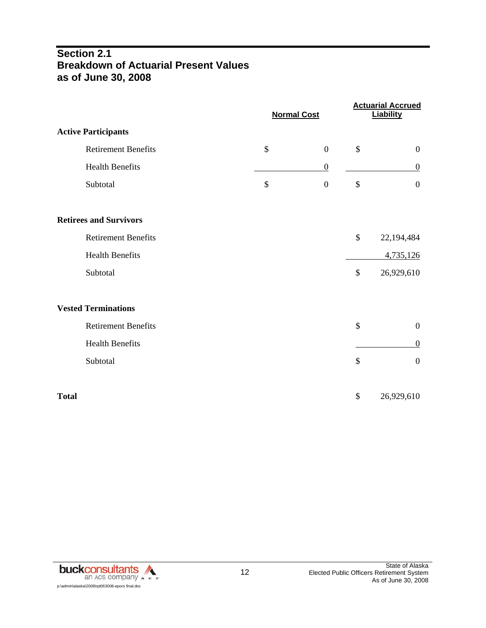### **Section 2.1 Breakdown of Actuarial Present Values as of June 30, 2008**

|                               | <b>Normal Cost</b> |                  | <b>Actuarial Accrued</b><br><b>Liability</b> |
|-------------------------------|--------------------|------------------|----------------------------------------------|
| <b>Active Participants</b>    |                    |                  |                                              |
| <b>Retirement Benefits</b>    | \$                 | $\boldsymbol{0}$ | \$<br>$\mathbf{0}$                           |
| <b>Health Benefits</b>        |                    | $\boldsymbol{0}$ | $\boldsymbol{0}$                             |
| Subtotal                      | \$                 | $\boldsymbol{0}$ | \$<br>$\overline{0}$                         |
| <b>Retirees and Survivors</b> |                    |                  |                                              |
| <b>Retirement Benefits</b>    |                    |                  | \$<br>22,194,484                             |
| <b>Health Benefits</b>        |                    |                  | 4,735,126                                    |
| Subtotal                      |                    |                  | \$<br>26,929,610                             |
| <b>Vested Terminations</b>    |                    |                  |                                              |
| <b>Retirement Benefits</b>    |                    |                  | \$<br>$\boldsymbol{0}$                       |
| <b>Health Benefits</b>        |                    |                  | $\boldsymbol{0}$                             |
| Subtotal                      |                    |                  | \$<br>$\boldsymbol{0}$                       |
| <b>Total</b>                  |                    |                  | \$<br>26,929,610                             |

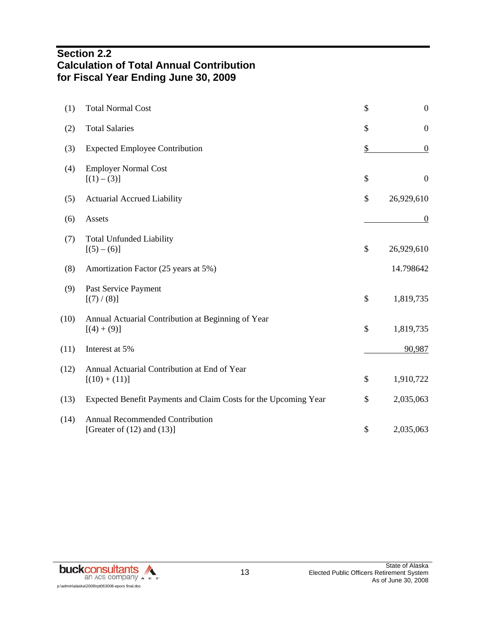### **Section 2.2 Calculation of Total Annual Contribution for Fiscal Year Ending June 30, 2009**

| (1)  | <b>Total Normal Cost</b>                                                  | \$            | $\boldsymbol{0}$ |
|------|---------------------------------------------------------------------------|---------------|------------------|
| (2)  | <b>Total Salaries</b>                                                     | $\mathcal{S}$ | $\mathbf{0}$     |
| (3)  | <b>Expected Employee Contribution</b>                                     | $\frac{1}{2}$ | $\boldsymbol{0}$ |
| (4)  | <b>Employer Normal Cost</b><br>$[(1) - (3)]$                              | \$            | $\boldsymbol{0}$ |
| (5)  | <b>Actuarial Accrued Liability</b>                                        | \$            | 26,929,610       |
| (6)  | Assets                                                                    |               | $\boldsymbol{0}$ |
| (7)  | <b>Total Unfunded Liability</b><br>$[(5)-(6)]$                            | \$            | 26,929,610       |
| (8)  | Amortization Factor (25 years at 5%)                                      |               | 14.798642        |
| (9)  | Past Service Payment<br>[(7)/(8)]                                         | \$            | 1,819,735        |
| (10) | Annual Actuarial Contribution at Beginning of Year<br>$[(4) + (9)]$       | \$            | 1,819,735        |
| (11) | Interest at 5%                                                            |               | 90,987           |
| (12) | Annual Actuarial Contribution at End of Year<br>$[(10) + (11)]$           | \$            | 1,910,722        |
| (13) | Expected Benefit Payments and Claim Costs for the Upcoming Year           | \$            | 2,035,063        |
| (14) | <b>Annual Recommended Contribution</b><br>[Greater of $(12)$ and $(13)$ ] | \$            | 2,035,063        |

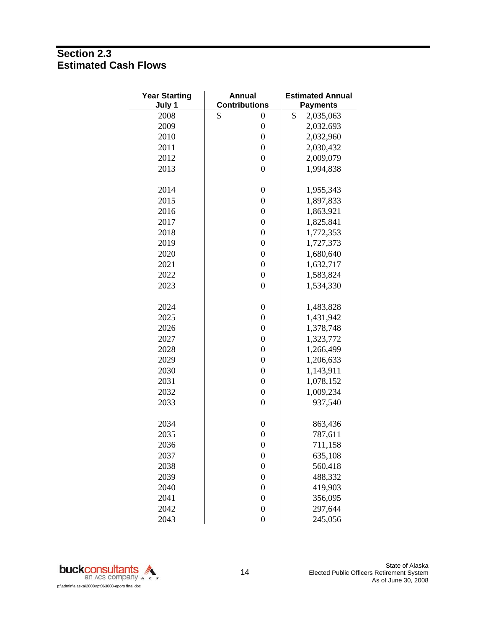# **Section 2.3 Estimated Cash Flows**

| <b>Year Starting</b><br>July 1 | <b>Annual</b><br><b>Contributions</b> | <b>Estimated Annual</b><br><b>Payments</b> |
|--------------------------------|---------------------------------------|--------------------------------------------|
| 2008                           | \$<br>$\boldsymbol{0}$                | \$<br>2,035,063                            |
| 2009                           | $\boldsymbol{0}$                      | 2,032,693                                  |
| 2010                           | $\boldsymbol{0}$                      | 2,032,960                                  |
| 2011                           | $\boldsymbol{0}$                      | 2,030,432                                  |
| 2012                           | $\boldsymbol{0}$                      | 2,009,079                                  |
| 2013                           | $\boldsymbol{0}$                      | 1,994,838                                  |
| 2014                           | $\boldsymbol{0}$                      | 1,955,343                                  |
| 2015                           | $\boldsymbol{0}$                      | 1,897,833                                  |
| 2016                           | $\boldsymbol{0}$                      | 1,863,921                                  |
| 2017                           | $\boldsymbol{0}$                      | 1,825,841                                  |
| 2018                           | $\boldsymbol{0}$                      | 1,772,353                                  |
| 2019                           | $\boldsymbol{0}$                      | 1,727,373                                  |
| 2020                           | $\boldsymbol{0}$                      | 1,680,640                                  |
| 2021                           | $\boldsymbol{0}$                      | 1,632,717                                  |
| 2022                           | $\boldsymbol{0}$                      | 1,583,824                                  |
| 2023                           | $\boldsymbol{0}$                      | 1,534,330                                  |
| 2024                           | $\boldsymbol{0}$                      | 1,483,828                                  |
| 2025                           | $\boldsymbol{0}$                      | 1,431,942                                  |
| 2026                           | $\boldsymbol{0}$                      | 1,378,748                                  |
| 2027                           | $\boldsymbol{0}$                      | 1,323,772                                  |
| 2028                           | $\boldsymbol{0}$                      | 1,266,499                                  |
| 2029                           | $\boldsymbol{0}$                      | 1,206,633                                  |
| 2030                           | $\boldsymbol{0}$                      | 1,143,911                                  |
| 2031                           | $\boldsymbol{0}$                      | 1,078,152                                  |
| 2032                           | $\boldsymbol{0}$                      | 1,009,234                                  |
| 2033                           | $\boldsymbol{0}$                      | 937,540                                    |
| 2034                           | $\boldsymbol{0}$                      | 863,436                                    |
| 2035                           | $\boldsymbol{0}$                      | 787,611                                    |
| 2036                           | $\boldsymbol{0}$                      | 711,158                                    |
| 2037                           | $\boldsymbol{0}$                      | 635,108                                    |
| 2038                           | $\boldsymbol{0}$                      | 560,418                                    |
| 2039                           | $\boldsymbol{0}$                      | 488,332                                    |
| 2040                           | $\boldsymbol{0}$                      | 419,903                                    |
| 2041                           | $\boldsymbol{0}$                      | 356,095                                    |
| 2042                           | $\boldsymbol{0}$                      | 297,644                                    |
| 2043                           | $\overline{0}$                        | 245,056                                    |

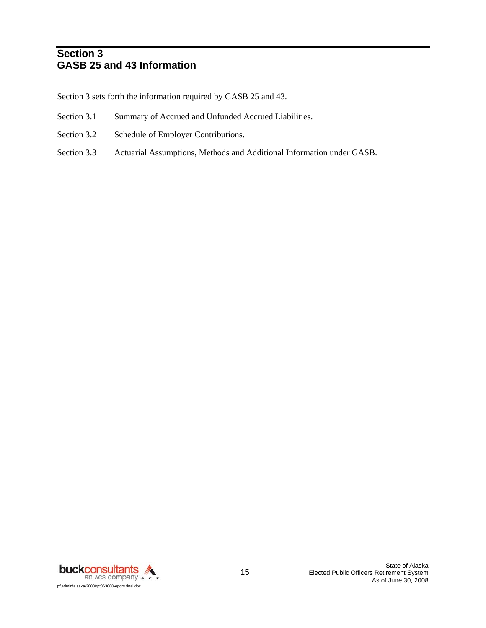# **Section 3 GASB 25 and 43 Information**

Section 3 sets forth the information required by GASB 25 and 43.

- Section 3.1 Summary of Accrued and Unfunded Accrued Liabilities.
- Section 3.2 Schedule of Employer Contributions.
- Section 3.3 Actuarial Assumptions, Methods and Additional Information under GASB.

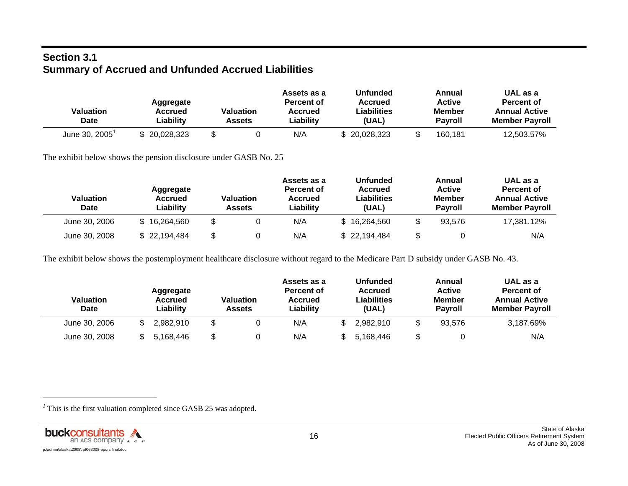# **Section 3.1 Summary of Accrued and Unfunded Accrued Liabilities**

| Valuation<br><b>Date</b> | Aggregate<br>Accrued<br>Liability | Valuation<br>Assets | Assets as a<br>Percent of<br>Accrued<br>Liabilitv | <b>Unfunded</b><br>Accrued<br>Liabilities<br>(UAL) | Annual<br><b>Active</b><br>Member<br>Pavroll | UAL as a<br>Percent of<br><b>Annual Active</b><br><b>Member Pavroll</b> |
|--------------------------|-----------------------------------|---------------------|---------------------------------------------------|----------------------------------------------------|----------------------------------------------|-------------------------------------------------------------------------|
| June 30, 2005            | \$20,028,323                      |                     | N/A                                               | \$20,028,323                                       | 160.181                                      | 12.503.57%                                                              |

The exhibit below shows the pension disclosure under GASB No. 25

| Valuation<br><b>Date</b> | Aggregate<br>Accrued<br>Liability | Valuation<br>Assets | Assets as a<br><b>Percent of</b><br><b>Accrued</b><br>Liability | <b>Unfunded</b><br>Accrued<br>Liabilities<br>(UAL) | Annual<br><b>Active</b><br>Member<br><b>Pavroll</b> | UAL as a<br>Percent of<br><b>Annual Active</b><br><b>Member Payroll</b> |
|--------------------------|-----------------------------------|---------------------|-----------------------------------------------------------------|----------------------------------------------------|-----------------------------------------------------|-------------------------------------------------------------------------|
| June 30, 2006            | \$16,264,560                      |                     | N/A                                                             | \$16,264,560                                       | 93.576                                              | 17.381.12%                                                              |
| June 30, 2008            | \$22,194,484                      |                     | N/A                                                             | \$22,194,484                                       |                                                     | N/A                                                                     |

The exhibit below shows the postemployment healthcare disclosure without regard to the Medicare Part D subsidy under GASB No. 43.

| Valuation<br><b>Date</b> | Aggregate<br>Accrued<br>Liability |     | Valuation<br><b>Assets</b> | Assets as a<br><b>Percent of</b><br><b>Accrued</b><br>Liability | <b>Unfunded</b><br><b>Accrued</b><br>Liabilities<br>(UAL) | Annual<br><b>Active</b><br>Member<br><b>Pavroll</b> | UAL as a<br>Percent of<br><b>Annual Active</b><br><b>Member Payroll</b> |
|--------------------------|-----------------------------------|-----|----------------------------|-----------------------------------------------------------------|-----------------------------------------------------------|-----------------------------------------------------|-------------------------------------------------------------------------|
| June 30, 2006            | 2.982.910                         |     |                            | N/A                                                             | 2,982,910                                                 | 93.576                                              | 3.187.69%                                                               |
| June 30, 2008            | 5.168.446                         | \$. |                            | N/A                                                             | 5.168.446                                                 |                                                     | N/A                                                                     |

<sup>1</sup> This is the first valuation completed since GASB 25 was adopted.